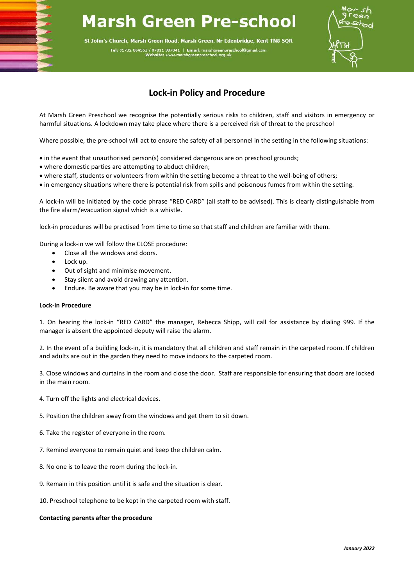## **Marsh Green Pre-school**

St John's Church, Marsh Green Road, Marsh Green, Nr Edenbridge, Kent TN8 5QR

Tel: 01732 864553 / 07811 987041 | Email: marshgreenpre



## **Lock-in Policy and Procedure**

At Marsh Green Preschool we recognise the potentially serious risks to children, staff and visitors in emergency or harmful situations. A lockdown may take place where there is a perceived risk of threat to the preschool

Where possible, the pre-school will act to ensure the safety of all personnel in the setting in the following situations:

- in the event that unauthorised person(s) considered dangerous are on preschool grounds;
- where domestic parties are attempting to abduct children;
- where staff, students or volunteers from within the setting become a threat to the well-being of others;
- in emergency situations where there is potential risk from spills and poisonous fumes from within the setting.

A lock-in will be initiated by the code phrase "RED CARD" (all staff to be advised). This is clearly distinguishable from the fire alarm/evacuation signal which is a whistle.

lock-in procedures will be practised from time to time so that staff and children are familiar with them.

During a lock-in we will follow the CLOSE procedure:

- Close all the windows and doors.
- Lock up.
- Out of sight and minimise movement.
- Stay silent and avoid drawing any attention.
- Endure. Be aware that you may be in lock-in for some time.

## **Lock-in Procedure**

1. On hearing the lock-in "RED CARD" the manager, Rebecca Shipp, will call for assistance by dialing 999. If the manager is absent the appointed deputy will raise the alarm.

2. In the event of a building lock-in, it is mandatory that all children and staff remain in the carpeted room. If children and adults are out in the garden they need to move indoors to the carpeted room.

3. Close windows and curtains in the room and close the door. Staff are responsible for ensuring that doors are locked in the main room.

4. Turn off the lights and electrical devices.

5. Position the children away from the windows and get them to sit down.

- 6. Take the register of everyone in the room.
- 7. Remind everyone to remain quiet and keep the children calm.
- 8. No one is to leave the room during the lock-in.
- 9. Remain in this position until it is safe and the situation is clear.
- 10. Preschool telephone to be kept in the carpeted room with staff.

## **Contacting parents after the procedure**